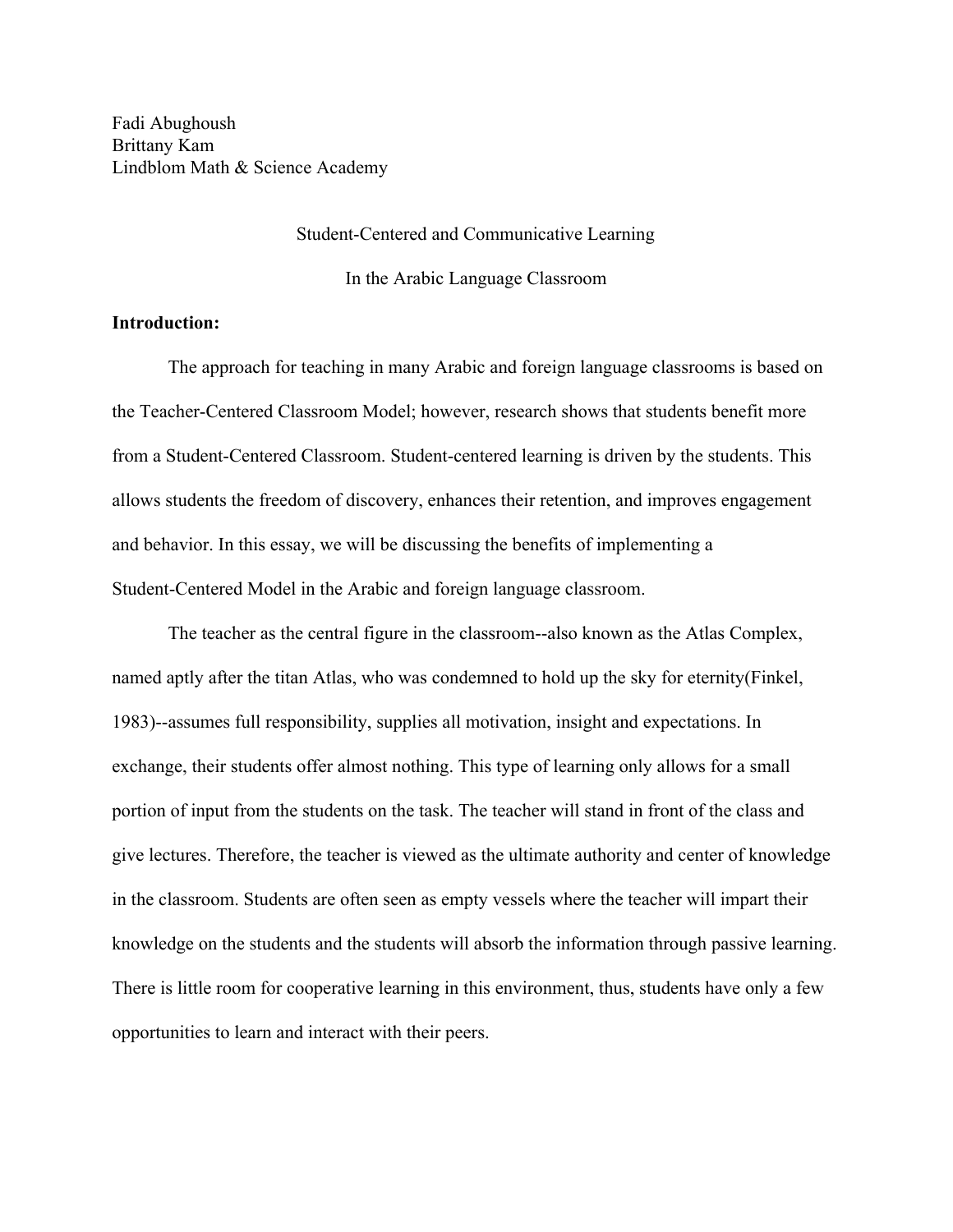Fadi Abughoush Brittany Kam Lindblom Math & Science Academy

#### Student-Centered and Communicative Learning

In the Arabic Language Classroom

# **Introduction:**

The approach for teaching in many Arabic and foreign language classrooms is based on the Teacher-Centered Classroom Model; however, research shows that students benefit more from a Student-Centered Classroom. Student-centered learning is driven by the students. This allows students the freedom of discovery, enhances their retention, and improves engagement and behavior. In this essay, we will be discussing the benefits of implementing a Student-Centered Model in the Arabic and foreign language classroom.

The teacher as the central figure in the classroom--also known as the Atlas Complex, named aptly after the titan Atlas, who was condemned to hold up the sky for eternity(Finkel, 1983)--assumes full responsibility, supplies all motivation, insight and expectations. In exchange, their students offer almost nothing. This type of learning only allows for a small portion of input from the students on the task. The teacher will stand in front of the class and give lectures. Therefore, the teacher is viewed as the ultimate authority and center of knowledge in the classroom. Students are often seen as empty vessels where the teacher will impart their knowledge on the students and the students will absorb the information through passive learning. There is little room for cooperative learning in this environment, thus, students have only a few opportunities to learn and interact with their peers.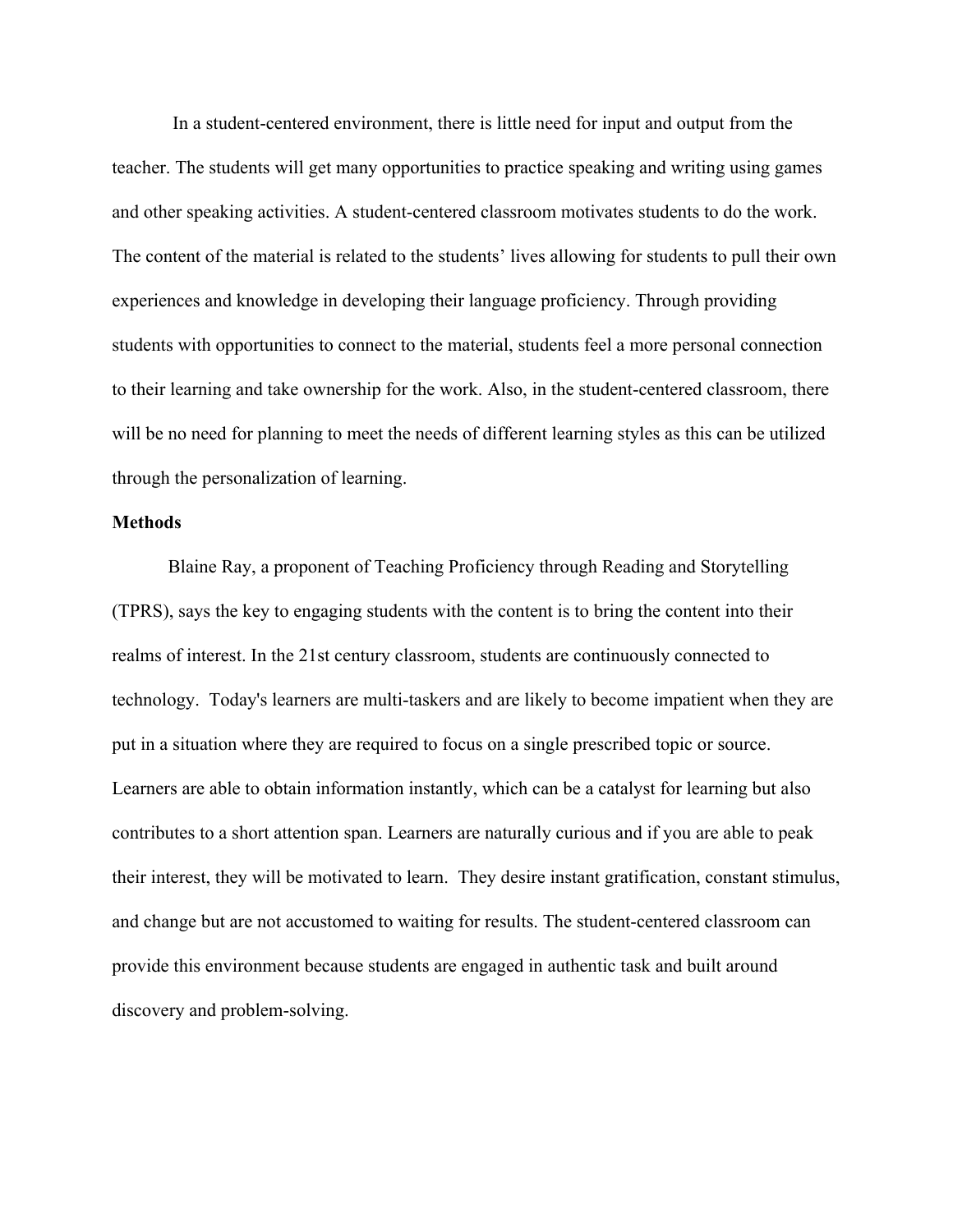In a student-centered environment, there is little need for input and output from the teacher. The students will get many opportunities to practice speaking and writing using games and other speaking activities. A student-centered classroom motivates students to do the work. The content of the material is related to the students' lives allowing for students to pull their own experiences and knowledge in developing their language proficiency. Through providing students with opportunities to connect to the material, students feel a more personal connection to their learning and take ownership for the work. Also, in the student-centered classroom, there will be no need for planning to meet the needs of different learning styles as this can be utilized through the personalization of learning.

# **Methods**

Blaine Ray, a proponent of Teaching Proficiency through Reading and Storytelling (TPRS), says the key to engaging students with the content is to bring the content into their realms of interest. In the 21st century classroom, students are continuously connected to technology. Today's learners are multi-taskers and are likely to become impatient when they are put in a situation where they are required to focus on a single prescribed topic or source. Learners are able to obtain information instantly, which can be a catalyst for learning but also contributes to a short attention span. Learners are naturally curious and if you are able to peak their interest, they will be motivated to learn. They desire instant gratification, constant stimulus, and change but are not accustomed to waiting for results. The student-centered classroom can provide this environment because students are engaged in authentic task and built around discovery and problem-solving.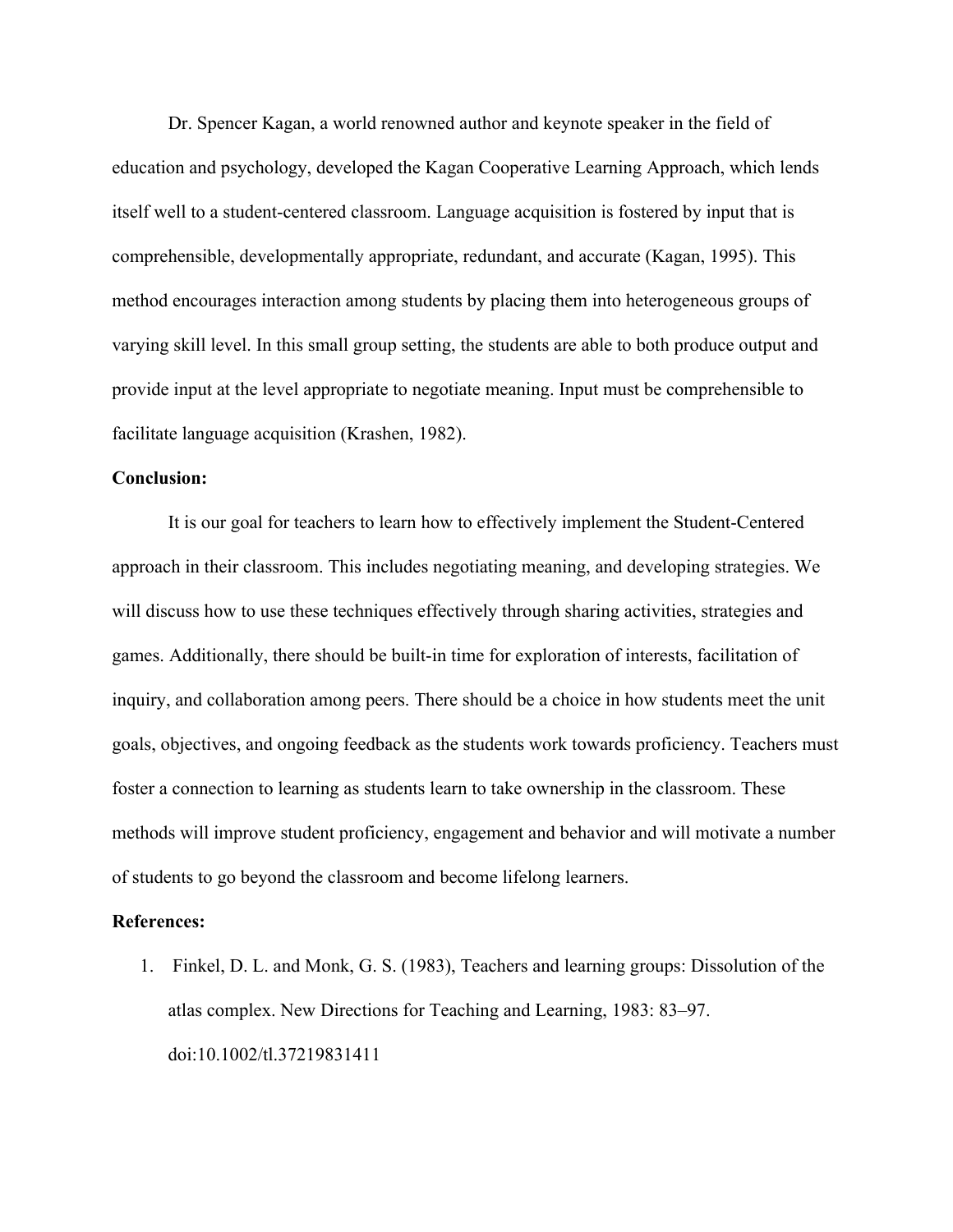Dr. Spencer Kagan, a world renowned author and keynote speaker in the field of education and psychology, developed the Kagan Cooperative Learning Approach, which lends itself well to a student-centered classroom. Language acquisition is fostered by input that is comprehensible, developmentally appropriate, redundant, and accurate (Kagan, 1995). This method encourages interaction among students by placing them into heterogeneous groups of varying skill level. In this small group setting, the students are able to both produce output and provide input at the level appropriate to negotiate meaning. Input must be comprehensible to facilitate language acquisition (Krashen, 1982).

### **Conclusion:**

It is our goal for teachers to learn how to effectively implement the Student-Centered approach in their classroom. This includes negotiating meaning, and developing strategies. We will discuss how to use these techniques effectively through sharing activities, strategies and games. Additionally, there should be built-in time for exploration of interests, facilitation of inquiry, and collaboration among peers. There should be a choice in how students meet the unit goals, objectives, and ongoing feedback as the students work towards proficiency. Teachers must foster a connection to learning as students learn to take ownership in the classroom. These methods will improve student proficiency, engagement and behavior and will motivate a number of students to go beyond the classroom and become lifelong learners.

#### **References:**

1. Finkel, D. L. and Monk, G. S. (1983), Teachers and learning groups: Dissolution of the atlas complex. New Directions for Teaching and Learning, 1983: 83–97. doi:10.1002/tl.37219831411